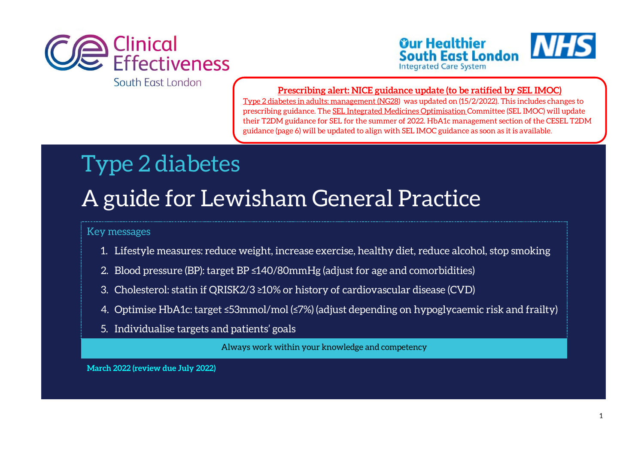

South East London



### **[Prescribing alert: NICE guidance update \(to be ratified by SEL IMOC\)](https://www.nice.org.uk/guidance/ng28)**

[Type 2 diabetes in adults: management \(NG28\)](https://www.nice.org.uk/guidance/ng28) was updated on (15/2/2022). This includes changes to prescribing guidance. The [SEL Integrated Medicines Optimisation C](https://selondonccg.nhs.uk/what-we-do/medicines-optimisation/south-east-london-integrated-medicines-optimisation-committee-sel-imoc/)ommittee (SEL IMOC) will update their T2DM guidance for SEL for the summer of 2022. HbA1c management section of the CESEL T2DM guidance (page 6) will be updated to align with SEL IMOC guidance as soon as it is available.

# Could you please make sure that the draft diabetes guide has the draft meds advisory note included? See below Type 2 diabetes A guide for Lewisham General Practice A guide for Lewisham General Practice

### Key messages A guide for Lewisham General Practice

- 1. Lifestyle measures: reduce weight, increase exercise, healthy diet, reduce alcohol, stop smoking
- 2. Blood pressure (BP): target BP ≤140/80mmHg (adjust for age and comorbidities)
- 3. Cholesterol: statin if QRISK2/3 ≥10% or history of cardiovascular disease (CVD)
- 4. Optimise HbA1c: target ≤53mmol/mol (≤7%) (adjust depending on hypoglycaemic risk and frailty)
- 5. Individualise targets and patients' goals

Always work within your knowledge and competency

**March 2022 (review due July 2022)**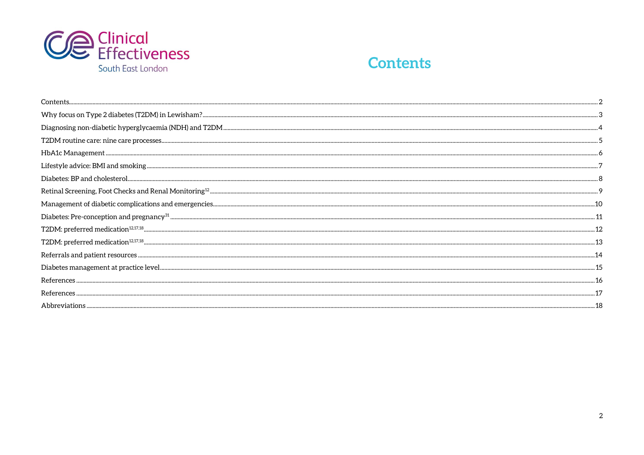



| Contents. |  |
|-----------|--|
|           |  |
|           |  |
|           |  |
|           |  |
|           |  |
|           |  |
|           |  |
|           |  |
|           |  |
|           |  |
|           |  |
|           |  |
|           |  |
|           |  |
|           |  |
|           |  |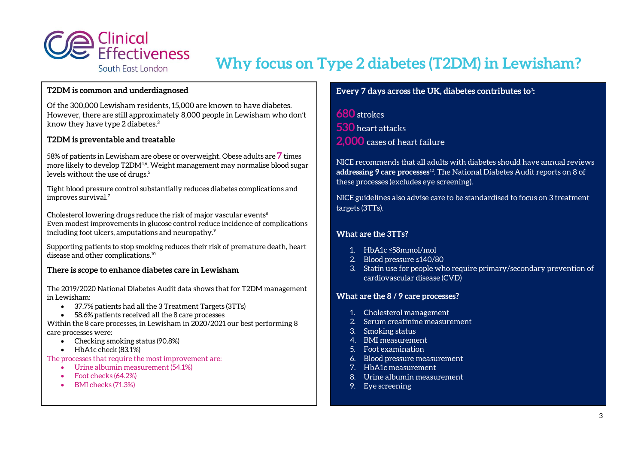

### **Why focus on Type 2 diabetes (T2DM) in Lewisham?**

#### **T2DM is common and underdiagnosed**

Of the 300,000 Lewisham residents, 15,000 are known to have diabetes. However, there are still approximately 8,000 people in Lewisham who don't know they have type 2 diabetes. 3

#### **T2DM is preventable and treatable**

58% of patients in Lewisham are obese or overweight. Obese adults are **7** times more likely to develop T2DM4,6. Weight management may normalise blood sugar levels without the use of drugs. 5

Tight blood pressure control substantially reduces diabetes complications and improves survival. 7

Cholesterol lowering drugs reduce the risk of major vascular events<sup>8</sup> Even modest improvements in glucose control reduce incidence of complications including foot ulcers, amputations and neuropathy. $^{\circ}$ 

Supporting patients to stop smoking reduces their risk of premature death, heart disease and other complications. 10

#### **There is scope to enhance diabetes care in Lewisham**

The 2019/2020 National Diabetes Audit data shows that for T2DM management in Lewisham:

- 37.7% patients had all the 3 Treatment Targets (3TTs)
- 58.6% patients received all the 8 care processes

Within the 8 care processes, in Lewisham in 2020/2021 our best performing 8 care processes were:

- Checking smoking status (90.8%)
- HbA1c check (83.1%)

The processes that require the most improvement are:

- Urine albumin measurement (54.1%)
- Foot checks (64.2%)
- BMI checks (71.3%)

#### **Every 7 days across the UK, diabetes contributes to**<sup>3</sup> **:**

#### **680** strokes

**530** heart attacks

**2,000** cases of heart failure

NICE recommends that all adults with diabetes should have annual reviews **addressing 9 care processes**12. The National Diabetes Audit reports on 8 of these processes (excludes eye screening).

NICE guidelines also advise care to be standardised to focus on 3 treatment targets (3TTs).

#### **What are the 3TTs?**

- 1. HbA1c ≤58mmol/mol
- 2. Blood pressure ≤140/80
- 3. Statin use for people who require primary/secondary prevention of cardiovascular disease (CVD)

#### **What are the 8 / 9 care processes?**

- 1. Cholesterol management
- 2. Serum creatinine measurement
- 3. Smoking status
- 4. BMI measurement
- 5. Foot examination
- 6. Blood pressure measurement
- 7. HbA1c measurement
- 8. Urine albumin measurement
- 9. Eye screening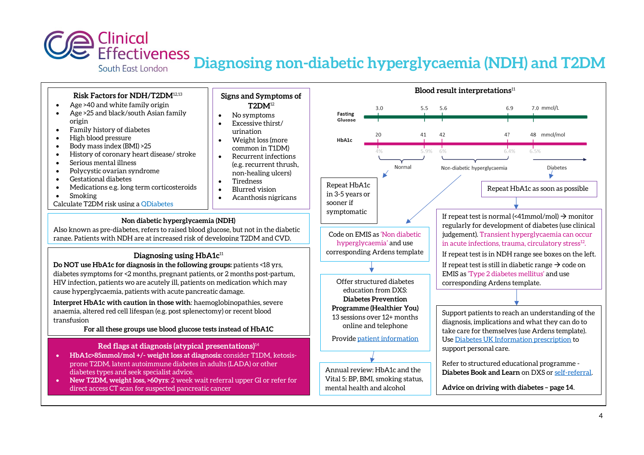

### **Diagnosing non-diabetic hyperglycaemia (NDH) and T2DM**

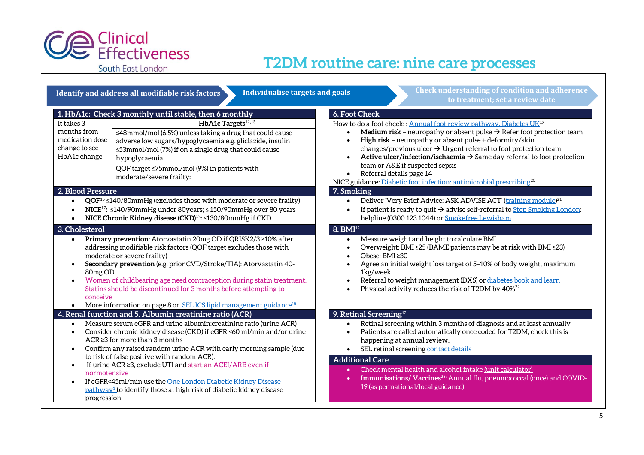

### **T2DM routine care: nine care processes**

|                                                                               | Individualise targets and goals<br>Identify and address all modifiable risk factors                                                                                                                                                                                                                                                                                                     | Check understanding of condition and adherence<br>to treatment; set a review date                                                                                                                                                                                                                                                                                                                                                                                                                                                                              |
|-------------------------------------------------------------------------------|-----------------------------------------------------------------------------------------------------------------------------------------------------------------------------------------------------------------------------------------------------------------------------------------------------------------------------------------------------------------------------------------|----------------------------------------------------------------------------------------------------------------------------------------------------------------------------------------------------------------------------------------------------------------------------------------------------------------------------------------------------------------------------------------------------------------------------------------------------------------------------------------------------------------------------------------------------------------|
|                                                                               | 1. HbA1c: Check 3 monthly until stable, then 6 monthly                                                                                                                                                                                                                                                                                                                                  | 6. Foot Check                                                                                                                                                                                                                                                                                                                                                                                                                                                                                                                                                  |
| It takes 3<br>months from<br>medication dose<br>change to see<br>HbA1c change | HbA1c Targets <sup>12,15</sup><br>≤48mmol/mol (6.5%) unless taking a drug that could cause<br>adverse low sugars/hypoglycaemia e.g. gliclazide, insulin<br>$\leq$ 53mmol/mol (7%) if on a single drug that could cause<br>hypoglycaemia<br>QOF target ≤75mmol/mol (9%) in patients with<br>moderate/severe frailty:                                                                     | How to do a foot check:: Annual foot review pathway. Diabetes UK <sup>19</sup><br><b>Medium risk</b> - neuropathy or absent pulse $\rightarrow$ Refer foot protection team<br>High risk - neuropathy or absent pulse + deformity/skin<br>changes/previous ulcer $\rightarrow$ Urgent referral to foot protection team<br>Active ulcer/infection/ischaemia $\rightarrow$ Same day referral to foot protection<br>team or A&E if suspected sepsis<br>Referral details page 14<br>NICE guidance: Diabetic foot infection: antimicrobial prescribing <sup>20</sup> |
| 2. Blood Pressure                                                             |                                                                                                                                                                                                                                                                                                                                                                                         | 7. Smoking                                                                                                                                                                                                                                                                                                                                                                                                                                                                                                                                                     |
| $\bullet$<br>$\bullet$                                                        | $QOF16 \le 140/80$ mmHg (excludes those with moderate or severe frailty)<br>NICE <sup>17</sup> : $\leq$ 140/90mmHg under 80years; $\leq$ 150/90mmHg over 80 years<br>NICE Chronic Kidney disease (CKD) <sup>17</sup> : ≤130/80mmHg if CKD                                                                                                                                               | Deliver 'Very Brief Advice: ASK ADVISE ACT' (training module) <sup>21</sup><br>$\bullet$<br>If patient is ready to quit $\rightarrow$ advise self-referral to Stop Smoking London:<br>helpline (0300 123 1044) or Smokefree Lewisham                                                                                                                                                                                                                                                                                                                           |
| 3. Cholesterol                                                                |                                                                                                                                                                                                                                                                                                                                                                                         | $8.$ BMI $^{12}$                                                                                                                                                                                                                                                                                                                                                                                                                                                                                                                                               |
| 80mg OD<br>$\bullet$<br>conceive                                              | Primary prevention: Atorvastatin 20mg OD if QRISK2/3 ≥10% after<br>addressing modifiable risk factors (QOF target excludes those with<br>moderate or severe frailty)<br>Secondary prevention (e.g. prior CVD/Stroke/TIA): Atorvastatin 40-<br>Women of childbearing age need contraception during statin treatment.<br>Statins should be discontinued for 3 months before attempting to | Measure weight and height to calculate BMI<br>Overweight: BMI ≥25 (BAME patients may be at risk with BMI ≥23)<br>Obese: BMI ≥30<br>$\bullet$<br>Agree an initial weight loss target of 5-10% of body weight, maximum<br>1kg/week<br>Referral to weight management (DXS) or diabetes book and learn<br>Physical activity reduces the risk of T2DM by 40% <sup>22</sup>                                                                                                                                                                                          |
| $\bullet$                                                                     | More information on page 8 or SEL ICS lipid management guidance <sup>18</sup><br>4. Renal function and 5. Albumin creatinine ratio (ACR)                                                                                                                                                                                                                                                | 9. Retinal Screening <sup>12</sup>                                                                                                                                                                                                                                                                                                                                                                                                                                                                                                                             |
| $\bullet$<br>$\bullet$<br>$\bullet$                                           | Measure serum eGFR and urine albumin: creatinine ratio (urine ACR)<br>Consider chronic kidney disease (CKD) if eGFR <60 ml/min and/or urine<br>ACR $\geq$ 3 for more than 3 months<br>Confirm any raised random urine ACR with early morning sample (due<br>to risk of false positive with random ACR).                                                                                 | Retinal screening within 3 months of diagnosis and at least annually<br>Patients are called automatically once coded for T2DM, check this is<br>happening at annual review.<br>SEL retinal screening contact details<br>$\bullet$<br><b>Additional Care</b>                                                                                                                                                                                                                                                                                                    |
| $\bullet$<br>normotensive<br>$\bullet$<br>progression                         | If urine ACR ≥3, exclude UTI and start an ACEI/ARB even if<br>If eGFR<45ml/min use the One London Diabetic Kidney Disease<br>pathway <sup>1</sup> to identify those at high risk of diabetic kidney disease                                                                                                                                                                             | Check mental health and alcohol intake (unit calculator)<br>Immunisations/Vaccines <sup>23:</sup> Annual flu, pneumococcal (once) and COVID-<br>19 (as per national/local guidance)                                                                                                                                                                                                                                                                                                                                                                            |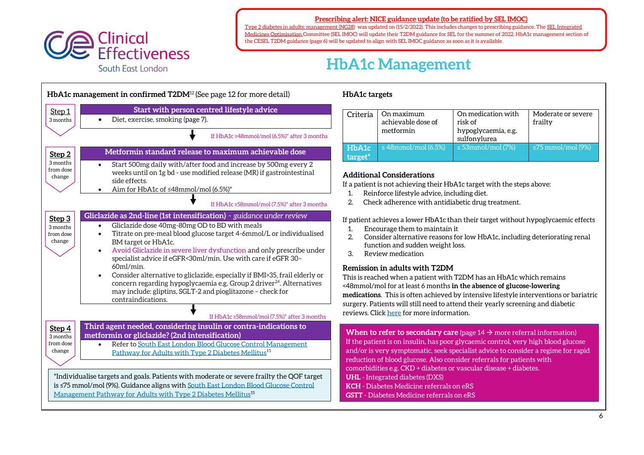#### **[Prescribing alert: NICE guidance update \(to be ratified by SEL IMOC\)](https://www.nice.org.uk/guidance/ng28)**



[Type 2 diabetes in adults: management \(NG28\)](https://www.nice.org.uk/guidance/ng28) was updated on (15/2/2022). This includes changes to prescribing guidance. Th[e SEL Integrated](https://selondonccg.nhs.uk/what-we-do/medicines-optimisation/south-east-london-integrated-medicines-optimisation-committee-sel-imoc/)  [Medicines Optimisation C](https://selondonccg.nhs.uk/what-we-do/medicines-optimisation/south-east-london-integrated-medicines-optimisation-committee-sel-imoc/)ommittee (SEL IMOC) will update their T2DM guidance for SEL for the summer of 2022. HbA1c management section of the CESEL T2DM guidance (page 6) will be updated to align with SEL IMOC guidance as soon as it is available.

### **HbA1c Management**

|                                           | HbA1c management in confirmed T2DM <sup>12</sup> (See page 12 for more detail)                                                                                                                                                                                                                                                                                                                                                                                                                                                                            |
|-------------------------------------------|-----------------------------------------------------------------------------------------------------------------------------------------------------------------------------------------------------------------------------------------------------------------------------------------------------------------------------------------------------------------------------------------------------------------------------------------------------------------------------------------------------------------------------------------------------------|
| Step 1                                    | Start with person centred lifestyle advice                                                                                                                                                                                                                                                                                                                                                                                                                                                                                                                |
| 3 months                                  | Diet, exercise, smoking (page 7).<br>$\bullet$                                                                                                                                                                                                                                                                                                                                                                                                                                                                                                            |
|                                           | If HbA1c ≥48mmol/mol (6.5%)* after 3 months                                                                                                                                                                                                                                                                                                                                                                                                                                                                                                               |
| Step 2                                    | Metformin standard release to maximum achievable dose                                                                                                                                                                                                                                                                                                                                                                                                                                                                                                     |
| 3 months<br>from dose<br>change           | Start 500mg daily with/after food and increase by 500mg every 2<br>$\bullet$<br>weeks until on 1g bd - use modified release (MR) if gastrointestinal<br>side effects.<br>Aim for HbA1c of $\leq$ 48mmol/mol (6.5%)*                                                                                                                                                                                                                                                                                                                                       |
|                                           | If HbA1c ≥58mmol/mol (7.5%)* after 3 months                                                                                                                                                                                                                                                                                                                                                                                                                                                                                                               |
| Step 3                                    | Gliclazide as 2nd-line (1st intensification) - guidance under review                                                                                                                                                                                                                                                                                                                                                                                                                                                                                      |
| 3 months<br>from dose<br>change           | Gliclazide dose 40mg-80mg OD to BD with meals<br>Titrate on pre-meal blood glucose target 4-6mmol/L or individualised<br>BM target or HbA1c.<br>Avoid Gliclazide in severe liver dysfunction and only prescribe under<br>specialist advice if eGFR<30ml/min. Use with care if eGFR 30-<br>60ml/min.<br>Consider alternative to gliclazide, especially if BMI>35, frail elderly or<br>concern regarding hypoglycaemia e.g. Group 2 driver <sup>24</sup> . Alternatives<br>may include: gliptins, SGLT-2 and pioglitazone - check for<br>contraindications. |
|                                           | If HbA1c ≥58mmol/mol (7.5%)* after 3 months                                                                                                                                                                                                                                                                                                                                                                                                                                                                                                               |
| Step 4<br>3 months<br>from dose<br>change | Third agent needed, considering insulin or contra-indications to<br>metformin or gliclazide? (2nd intensification)<br>Refer to South East London Blood Glucose Control Management<br>Pathway for Adults with Type 2 Diabetes Mellitus <sup>15</sup>                                                                                                                                                                                                                                                                                                       |
|                                           | *Individualise targets and goals. Patients with moderate or severe frailty the QOF target<br>is ≤75 mmol/mol (9%). Guidance aligns with South East London Blood Glucose Control<br>Management Pathway for Adults with Type 2 Diabetes Mellitus <sup>15</sup>                                                                                                                                                                                                                                                                                              |

#### **HbA1c targets**

| Criteria                      | On maximum<br>achievable dose of<br>metformin | On medication with<br>risk of<br>hypoglycaemia, e.g.<br>sulfonylurea | Moderate or severe<br>frailty |
|-------------------------------|-----------------------------------------------|----------------------------------------------------------------------|-------------------------------|
| HbA <sub>1</sub> c<br>target* | $\leq$ 48mmol/mol (6.5%)                      | $\leq$ 53mmol/mol (7%)                                               | $\leq$ 75 mmol/mol $(9%)$     |

#### **Additional Considerations**

If a patient is not achieving their HbA1c target with the steps above:

- 1. Reinforce lifestyle advice, including diet.
- 2. Check adherence with antidiabetic drug treatment.

If patient achieves a lower HbA1c than their target without hypoglycaemic effects

- 1. Encourage them to maintain it
- 2. Consider alternative reasons for low HbA1c, including deteriorating renal function and sudden weight loss.
- 3. Review medication

#### **Remission in adults with T2DM**

This is reached when a patient with T2DM has an HbA1c which remains <48mmol/mol for at least 6 months **in the absence of glucose-lowering medications**. This is often achieved by intensive lifestyle interventions or bariatric surgery. Patients will still need to attend their yearly screening and diabetic reviews. Clic[k here](https://diabetes-resources-production.s3.eu-west-1.amazonaws.com/resources-s3/public/2021-08/DIABETES%20UK%20UPDATED%20POSITION%20STATEMENT%20ON%20REMISSION%20IN%20ADULTS%20-%20FINAL_0.pdf) for more information.

**When to refer to secondary care** (page  $14 \rightarrow$  more referral information) If the patient is on insulin, has poor glycaemic control, very high blood glucose and/or is very symptomatic, seek specialist advice to consider a regime for rapid reduction of blood glucose. Also consider referrals for patients with comorbidities e.g. CKD + diabetes or vascular disease + diabetes. **UHL** - Integrated diabetes (DXS) **KCH** - Diabetes Medicine referrals on eRS **GSTT** - Diabetes Medicine referrals on eRS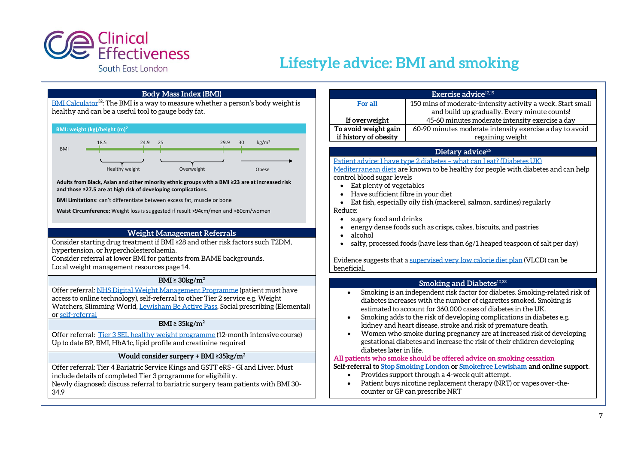

### **Lifestyle advice: BMI and smoking**

#### **Body Mass Index (BMI)**

[BMI Calculator](https://www.nhs.uk/live-well/healthy-weight/bmi-calculator/)<sup>32</sup>: The BMI is a way to measure whether a person's body weight is healthy and can be a useful tool to gauge body fat.

#### **BMI: weight (kg)/height (m)<sup>2</sup>**



**Adults from Black, Asian and other minority ethnic groups with a BMI ≥23 are at increased risk and those ≥27.5 are at high risk of developing complications.** 

**BMI Limitations**: can't differentiate between excess fat, muscle or bone

**Waist Circumference:** Weight loss is suggested if result >94cm/men and >80cm/women

#### **Weight Management Referrals**

Consider starting drug treatment if BMI ≥28 and other risk factors such T2DM, hypertension, or hypercholesterolaemia.

Consider referral at lower BMI for patients from BAME backgrounds. Local weight management resources page 14.

#### **BMI ≥ 30kg/m<sup>2</sup>**

Offer referral[: NHS Digital Weight Management Programme](https://www.england.nhs.uk/digital-weight-management/) (patient must have access to online technology), self-referral to other Tier 2 service e.g. Weight Watchers, Slimming World[, Lewisham Be Active Pass,](https://lewisham.gov.uk/inmyarea/sport/be-active-discounts) Social prescribing (Elemental) o[r self-referral](https://sites.elementalsoftware.co.uk/app/WebObjects/SR.woa/cms/ohl_corona_registerstart)

#### **BMI ≥ 35kg/m<sup>2</sup>**

Offer referral: [Tier 3 SEL healthy weight programme](https://www.guysandstthomas.nhs.uk/our-services/healthy-weight/overview.aspx) (12-month intensive course) Up to date BP, BMI, HbA1c, lipid profile and creatinine required

#### **Would consider surgery + BMI ≥35kg/m<sup>2</sup>**

Offer referral: Tier 4 Bariatric Service Kings and GSTT eRS - GI and Liver. Must include details of completed Tier 3 programme for eligibility.

Newly diagnosed: discuss referral to bariatric surgery team patients with BMI 30- 34.9

|                                                                                                                                                                                                                                                                                                                                                                                                                                                                                                                                                                                                                                                                                                                                                                                                                                                                                                            | Exercise advice <sup>12,15</sup>                                                                            |  |  |  |
|------------------------------------------------------------------------------------------------------------------------------------------------------------------------------------------------------------------------------------------------------------------------------------------------------------------------------------------------------------------------------------------------------------------------------------------------------------------------------------------------------------------------------------------------------------------------------------------------------------------------------------------------------------------------------------------------------------------------------------------------------------------------------------------------------------------------------------------------------------------------------------------------------------|-------------------------------------------------------------------------------------------------------------|--|--|--|
| For all                                                                                                                                                                                                                                                                                                                                                                                                                                                                                                                                                                                                                                                                                                                                                                                                                                                                                                    |                                                                                                             |  |  |  |
|                                                                                                                                                                                                                                                                                                                                                                                                                                                                                                                                                                                                                                                                                                                                                                                                                                                                                                            | 150 mins of moderate-intensity activity a week. Start small<br>and build up gradually. Every minute counts! |  |  |  |
|                                                                                                                                                                                                                                                                                                                                                                                                                                                                                                                                                                                                                                                                                                                                                                                                                                                                                                            |                                                                                                             |  |  |  |
| If overweight<br>To avoid weight gain                                                                                                                                                                                                                                                                                                                                                                                                                                                                                                                                                                                                                                                                                                                                                                                                                                                                      | 45-60 minutes moderate intensity exercise a day                                                             |  |  |  |
| if history of obesity                                                                                                                                                                                                                                                                                                                                                                                                                                                                                                                                                                                                                                                                                                                                                                                                                                                                                      | 60-90 minutes moderate intensity exercise a day to avoid                                                    |  |  |  |
|                                                                                                                                                                                                                                                                                                                                                                                                                                                                                                                                                                                                                                                                                                                                                                                                                                                                                                            | regaining weight                                                                                            |  |  |  |
|                                                                                                                                                                                                                                                                                                                                                                                                                                                                                                                                                                                                                                                                                                                                                                                                                                                                                                            | Dietary advice <sup>26</sup>                                                                                |  |  |  |
| <u> Patient advice: I have type 2 diabetes – what can I eat? (Diabetes UK)</u><br>Mediterranean diets are known to be healthy for people with diabetes and can help<br>control blood sugar levels<br>Eat plenty of vegetables<br>• Have sufficient fibre in your diet<br>Eat fish, especially oily fish (mackerel, salmon, sardines) regularly<br>Reduce:<br>sugary food and drinks<br>$\bullet$<br>energy dense foods such as crisps, cakes, biscuits, and pastries<br>٠<br>alcohol<br>$\bullet$<br>salty, processed foods (have less than 6g/1 heaped teaspoon of salt per day)<br>$\bullet$<br>Evidence suggests that a supervised very low calorie diet plan (VLCD) can be                                                                                                                                                                                                                             |                                                                                                             |  |  |  |
| beneficial.                                                                                                                                                                                                                                                                                                                                                                                                                                                                                                                                                                                                                                                                                                                                                                                                                                                                                                |                                                                                                             |  |  |  |
|                                                                                                                                                                                                                                                                                                                                                                                                                                                                                                                                                                                                                                                                                                                                                                                                                                                                                                            |                                                                                                             |  |  |  |
| Smoking and Diabetes <sup>10,33</sup><br>Smoking is an independent risk factor for diabetes. Smoking-related risk of<br>diabetes increases with the number of cigarettes smoked. Smoking is<br>estimated to account for 360,000 cases of diabetes in the UK.<br>Smoking adds to the risk of developing complications in diabetes e.g.<br>kidney and heart disease, stroke and risk of premature death.<br>Women who smoke during pregnancy are at increased risk of developing<br>gestational diabetes and increase the risk of their children developing<br>diabetes later in life.<br>All patients who smoke should be offered advice on smoking cessation<br>Self-referral to Stop Smoking London or Smokefree Lewisham and online support.<br>Provides support through a 4-week quit attempt.<br>Patient buys nicotine replacement therapy (NRT) or vapes over-the-<br>counter or GP can prescribe NRT |                                                                                                             |  |  |  |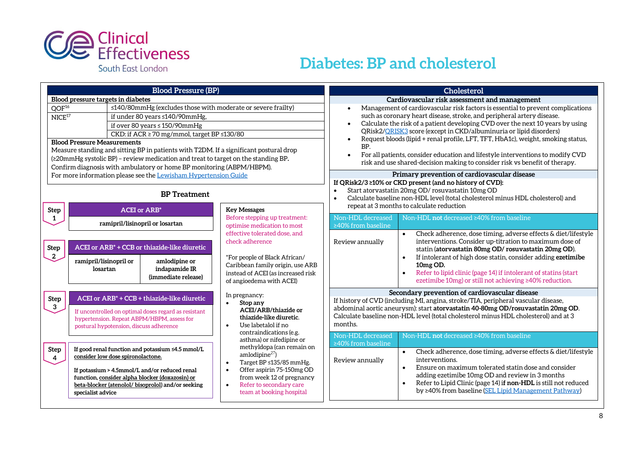

### **Diabetes: BP and cholesterol**

|                                                                                                                                                                                                                                                                                                                                                                                                                                                                                                                                                                                                         | <b>Blood Pressure (BP)</b>                                                                                                                                                                                                                                                                                                                                                                                                                                                                                                                                                                                 |                                                                                                                                                                                         | Cholesterol                                                                                                                                                                                                                                                                                                                                                                                                                                                                                                                                                                                                                                                                                 |  |  |
|---------------------------------------------------------------------------------------------------------------------------------------------------------------------------------------------------------------------------------------------------------------------------------------------------------------------------------------------------------------------------------------------------------------------------------------------------------------------------------------------------------------------------------------------------------------------------------------------------------|------------------------------------------------------------------------------------------------------------------------------------------------------------------------------------------------------------------------------------------------------------------------------------------------------------------------------------------------------------------------------------------------------------------------------------------------------------------------------------------------------------------------------------------------------------------------------------------------------------|-----------------------------------------------------------------------------------------------------------------------------------------------------------------------------------------|---------------------------------------------------------------------------------------------------------------------------------------------------------------------------------------------------------------------------------------------------------------------------------------------------------------------------------------------------------------------------------------------------------------------------------------------------------------------------------------------------------------------------------------------------------------------------------------------------------------------------------------------------------------------------------------------|--|--|
| QOF <sup>16</sup><br>$\ensuremath{\mathsf{NICE}}^{17}$                                                                                                                                                                                                                                                                                                                                                                                                                                                                                                                                                  | Blood pressure targets in diabetes<br>≤140/80mmHg (excludes those with moderate or severe frailty)<br>if under 80 years $\leq 140/90$ mmHg,<br>if over 80 years $\leq$ 150/90mmHg<br>CKD: if ACR $\geq$ 70 mg/mmol, target BP $\leq$ 130/80<br><b>Blood Pressure Measurements</b><br>Measure standing and sitting BP in patients with T2DM. If a significant postural drop<br>(220mmHg systolic BP) - review medication and treat to target on the standing BP.<br>Confirm diagnosis with ambulatory or home BP monitoring (ABPM/HBPM).<br>For more information please see the Lewisham Hypertension Guide |                                                                                                                                                                                         | Cardiovascular risk assessment and management<br>Management of cardiovascular risk factors is essential to prevent complications<br>such as coronary heart disease, stroke, and peripheral artery disease.<br>Calculate the risk of a patient developing CVD over the next 10 years by using<br>QRisk2/QRISK3 score (except in CKD/albuminuria or lipid disorders)<br>Request bloods (lipid + renal profile, LFT, TFT, HbA1c), weight, smoking status,<br>$\bullet$<br>BP.<br>For all patients, consider education and lifestyle interventions to modify CVD<br>risk and use shared-decision making to consider risk vs benefit of therapy.<br>Primary prevention of cardiovascular disease |  |  |
|                                                                                                                                                                                                                                                                                                                                                                                                                                                                                                                                                                                                         | <b>BP</b> Treatment                                                                                                                                                                                                                                                                                                                                                                                                                                                                                                                                                                                        |                                                                                                                                                                                         | If QRisk2/3 ≥10% or CKD present (and no history of CVD):<br>Start atorvastatin 20mg OD/rosuvastatin 10mg OD<br>$\bullet$<br>Calculate baseline non-HDL level (total cholesterol minus HDL cholesterol) and<br>$\bullet$<br>repeat at 3 months to calculate reduction                                                                                                                                                                                                                                                                                                                                                                                                                        |  |  |
| <b>Step</b><br>1                                                                                                                                                                                                                                                                                                                                                                                                                                                                                                                                                                                        | <b>ACEI or ARB*</b><br>ramipril/lisinopril or losartan                                                                                                                                                                                                                                                                                                                                                                                                                                                                                                                                                     | <b>Key Messages</b><br>Before stepping up treatment:<br>optimise medication to most                                                                                                     | Non-HDL decreased<br>Non-HDL not decreased ≥40% from baseline<br>$\geq$ 40% from baseline                                                                                                                                                                                                                                                                                                                                                                                                                                                                                                                                                                                                   |  |  |
| <b>Step</b><br>$\sqrt{2}$                                                                                                                                                                                                                                                                                                                                                                                                                                                                                                                                                                               | ACEI or ARB <sup>*</sup> + CCB or thiazide-like diuretic<br>ramipril/lisinopril or<br>amlodipine or<br>indapamide IR<br>losartan<br>(immediate release)                                                                                                                                                                                                                                                                                                                                                                                                                                                    | effective tolerated dose, and<br>check adherence<br>*For people of Black African/<br>Caribbean family origin, use ARB<br>instead of ACEI (as increased risk<br>of angioedema with ACEI) | Check adherence, dose timing, adverse effects & diet/lifestyle<br>interventions. Consider up-titration to maximum dose of<br>Review annually<br>statin (atorvastatin 80mg OD/rosuvastatin 20mg OD).<br>If intolerant of high dose statin, consider adding ezetimibe<br>$\bullet$<br>10mg OD.<br>Refer to lipid clinic (page 14) if intolerant of statins (start<br>$\bullet$<br>ezetimibe 10mg) or still not achieving ≥40% reduction.                                                                                                                                                                                                                                                      |  |  |
| <b>Step</b><br>3                                                                                                                                                                                                                                                                                                                                                                                                                                                                                                                                                                                        | ACEI or ARB <sup>*</sup> + CCB + thiazide-like diuretic<br>If uncontrolled on optimal doses regard as resistant<br>hypertension. Repeat ABPM/HBPM, assess for<br>postural hypotension, discuss adherence                                                                                                                                                                                                                                                                                                                                                                                                   | In pregnancy:<br>Stop any<br>$\bullet$<br>ACEI/ARB/thiazide or<br>thiazide-like diuretic.<br>Use labetalol if no<br>$\bullet$                                                           | Secondary prevention of cardiovascular disease<br>If history of CVD (including MI, angina, stroke/TIA, peripheral vascular disease,<br>abdominal aortic aneurysm): start atorvastatin 40-80mg OD/rosuvastatin 20mg OD.<br>Calculate baseline non-HDL level (total cholesterol minus HDL cholesterol) and at 3<br>months.                                                                                                                                                                                                                                                                                                                                                                    |  |  |
| contraindications (e.g.<br>asthma) or nifedipine or<br>methyldopa (can remain on<br>If good renal function and potassium $\leq 4.5$ mmol/L<br><b>Step</b><br>amlodipine $27$ )<br>consider low dose spironolactone.<br>$\overline{4}$<br>Target BP ≤135/85 mmHg.<br>$\bullet$<br>Offer aspirin 75-150mg OD<br>If potassium > 4.5mmol/L and/or reduced renal<br>$\bullet$<br>from week 12 of pregnancy<br>function, consider alpha blocker (doxazosin) or<br>Refer to secondary care<br>beta-blocker (atenolol/ bisoprolol) and/or seeking<br>$\bullet$<br>team at booking hospital<br>specialist advice |                                                                                                                                                                                                                                                                                                                                                                                                                                                                                                                                                                                                            |                                                                                                                                                                                         | Non-HDL decreased<br>Non-HDL not decreased ≥40% from baseline<br>≥40% from baseline<br>Check adherence, dose timing, adverse effects & diet/lifestyle<br>interventions.<br>Review annually<br>Ensure on maximum tolerated statin dose and consider<br>$\bullet$<br>adding ezetimibe 10mg OD and review in 3 months<br>Refer to Lipid Clinic (page 14) if non-HDL is still not reduced<br>by ≥40% from baseline (SEL Lipid Management Pathway)                                                                                                                                                                                                                                               |  |  |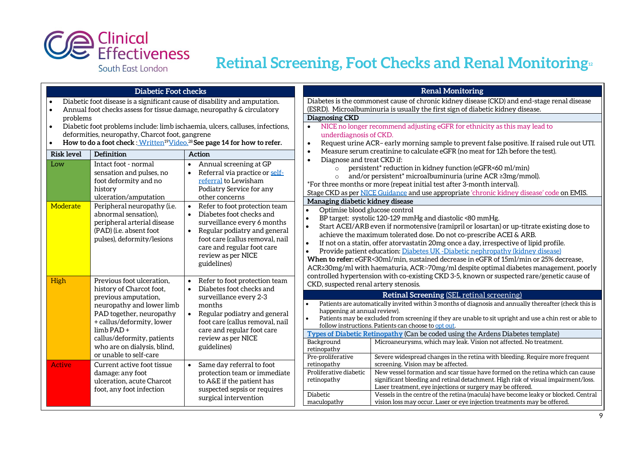

### **Retinal Screening, Foot Checks and Renal Monitoring12**

| <b>Diabetic Foot checks</b>                                                               |                                                       |                                                                                                  | <b>Renal Monitoring</b>                                                                                                                                       |  |  |
|-------------------------------------------------------------------------------------------|-------------------------------------------------------|--------------------------------------------------------------------------------------------------|---------------------------------------------------------------------------------------------------------------------------------------------------------------|--|--|
| Diabetic foot disease is a significant cause of disability and amputation.                |                                                       |                                                                                                  | Diabetes is the commonest cause of chronic kidney disease (CKD) and end-stage renal disease                                                                   |  |  |
| Annual foot checks assess for tissue damage, neuropathy & circulatory<br>$\bullet$        |                                                       |                                                                                                  | (ESRD). Microalbuminuria is usually the first sign of diabetic kidney disease.                                                                                |  |  |
| problems<br>Diabetic foot problems include: limb ischaemia, ulcers, calluses, infections, |                                                       |                                                                                                  | Diagnosing CKD<br>$\bullet$                                                                                                                                   |  |  |
| $\bullet$                                                                                 | deformities, neuropathy, Charcot foot, gangrene       |                                                                                                  | NICE no longer recommend adjusting eGFR for ethnicity as this may lead to<br>underdiagnosis of CKD.                                                           |  |  |
| $\bullet$                                                                                 |                                                       | How to do a foot check: Written <sup>19</sup> Video. <sup>28</sup> See page 14 for how to refer. | Request urine ACR-early morning sample to prevent false positive. If raised rule out UTI.<br>$\bullet$                                                        |  |  |
|                                                                                           |                                                       |                                                                                                  | Measure serum creatinine to calculate eGFR (no meat for 12h before the test).<br>$\bullet$                                                                    |  |  |
| <b>Risk level</b>                                                                         | Definition                                            | <b>Action</b>                                                                                    | Diagnose and treat CKD if:<br>$\bullet$                                                                                                                       |  |  |
| Low                                                                                       | Intact foot - normal                                  | Annual screening at GP<br>$\bullet$                                                              | persistent <sup>*</sup> reduction in kidney function (eGFR<60 ml/min)<br>$\circ$                                                                              |  |  |
|                                                                                           | sensation and pulses, no                              | Referral via practice or self-                                                                   | and/or persistent <sup>*</sup> microalbuminuria (urine ACR ≥3mg/mmol).<br>$\circ$                                                                             |  |  |
|                                                                                           | foot deformity and no                                 | referral to Lewisham                                                                             | *For three months or more (repeat initial test after 3-month interval).                                                                                       |  |  |
|                                                                                           | history                                               | Podiatry Service for any<br>other concerns                                                       | Stage CKD as per NICE Guidance and use appropriate 'chronic kidney disease' code on EMIS.                                                                     |  |  |
| Moderate                                                                                  | ulceration/amputation<br>Peripheral neuropathy (i.e.  | Refer to foot protection team<br>$\bullet$                                                       | Managing diabetic kidney disease                                                                                                                              |  |  |
|                                                                                           | abnormal sensation),                                  | Diabetes foot checks and<br>$\bullet$                                                            | Optimise blood glucose control<br>$\bullet$                                                                                                                   |  |  |
|                                                                                           | peripheral arterial disease                           | surveillance every 6 months                                                                      | BP target: systolic 120-129 mmHg and diastolic <80 mmHg.<br>$\bullet$                                                                                         |  |  |
|                                                                                           | (PAD) (i.e. absent foot                               | Regular podiatry and general<br>$\bullet$                                                        | Start ACEI/ARB even if normotensive (ramipril or losartan) or up-titrate existing dose to<br>$\bullet$                                                        |  |  |
|                                                                                           | pulses), deformity/lesions                            | foot care (callus removal, nail                                                                  | achieve the maximum tolerated dose. Do not co-prescribe ACEI & ARB.                                                                                           |  |  |
|                                                                                           |                                                       | care and regular foot care                                                                       | If not on a statin, offer atorvastatin 20mg once a day, irrespective of lipid profile.<br>$\bullet$                                                           |  |  |
|                                                                                           |                                                       | review as per NICE                                                                               | Provide patient education: Diabetes UK -Diabetic nephropathy (kidney disease)<br>$\bullet$                                                                    |  |  |
|                                                                                           |                                                       | guidelines)                                                                                      | When to refer: eGFR<30ml/min, sustained decrease in eGFR of 15ml/min or 25% decrease,                                                                         |  |  |
|                                                                                           |                                                       |                                                                                                  | ACR≥30mg/ml with haematuria, ACR>70mg/ml despite optimal diabetes management, poorly                                                                          |  |  |
| High                                                                                      | Previous foot ulceration,                             | Refer to foot protection team                                                                    | controlled hypertension with co-existing CKD 3-5, known or suspected rare/genetic cause of<br>CKD, suspected renal artery stenosis.                           |  |  |
|                                                                                           | history of Charcot foot,                              | Diabetes foot checks and                                                                         |                                                                                                                                                               |  |  |
|                                                                                           | previous amputation,                                  | surveillance every 2-3                                                                           | Retinal Screening (SEL retinal screening)                                                                                                                     |  |  |
|                                                                                           | neuropathy and lower limb                             | months                                                                                           | Patients are automatically invited within 3 months of diagnosis and annually thereafter (check this is<br>$\bullet$<br>happening at annual review).           |  |  |
|                                                                                           | PAD together, neuropathy                              | Regular podiatry and general                                                                     | Patients may be excluded from screening if they are unable to sit upright and use a chin rest or able to                                                      |  |  |
|                                                                                           | + callus/deformity, lower                             | foot care (callus removal, nail                                                                  | follow instructions. Patients can choose to opt out.                                                                                                          |  |  |
|                                                                                           | limb PAD+                                             | care and regular foot care                                                                       | Types of Diabetic Retinopathy (Can be coded using the Ardens Diabetes template)                                                                               |  |  |
|                                                                                           | callus/deformity, patients                            | review as per NICE                                                                               | Background<br>Microaneurysms, which may leak. Vision not affected. No treatment.                                                                              |  |  |
|                                                                                           | who are on dialysis, blind,<br>or unable to self-care | guidelines)                                                                                      | retinopathy                                                                                                                                                   |  |  |
|                                                                                           |                                                       |                                                                                                  | Severe widespread changes in the retina with bleeding. Require more frequent<br>Pre-proliferative                                                             |  |  |
| <b>Active</b>                                                                             | Current active foot tissue                            | Same day referral to foot<br>$\bullet$                                                           | retinopathy<br>screening. Vision may be affected.<br>New vessel formation and scar tissue have formed on the retina which can cause<br>Proliferative diabetic |  |  |
|                                                                                           | damage: any foot                                      | protection team or immediate                                                                     | significant bleeding and retinal detachment. High risk of visual impairment/loss.<br>retinopathy                                                              |  |  |
|                                                                                           | ulceration, acute Charcot<br>foot, any foot infection | to A&E if the patient has<br>suspected sepsis or requires                                        | Laser treatment, eye injections or surgery may be offered.                                                                                                    |  |  |
|                                                                                           |                                                       | surgical intervention                                                                            | Vessels in the centre of the retina (macula) have become leaky or blocked. Central<br>Diabetic                                                                |  |  |
|                                                                                           |                                                       |                                                                                                  | maculopathy<br>vision loss may occur. Laser or eye injection treatments may be offered.                                                                       |  |  |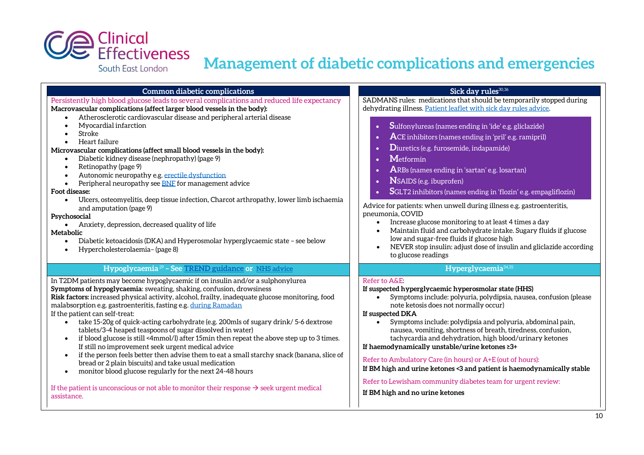

assistance.

### **Management of diabetic complications and emergencies**

| <b>Common diabetic complications</b>                                                                                                                                                                                                                                                                                                                                                                                                                                                                                                                                                                                                                                                                                                                                                                                                                                                                                                                   | Sick day rules <sup>30,36</sup>                                                                                                                                                                                                                                                                                                                                                                                                                                                                                                                                                                                                                                                                                                                                                                                                                                        |
|--------------------------------------------------------------------------------------------------------------------------------------------------------------------------------------------------------------------------------------------------------------------------------------------------------------------------------------------------------------------------------------------------------------------------------------------------------------------------------------------------------------------------------------------------------------------------------------------------------------------------------------------------------------------------------------------------------------------------------------------------------------------------------------------------------------------------------------------------------------------------------------------------------------------------------------------------------|------------------------------------------------------------------------------------------------------------------------------------------------------------------------------------------------------------------------------------------------------------------------------------------------------------------------------------------------------------------------------------------------------------------------------------------------------------------------------------------------------------------------------------------------------------------------------------------------------------------------------------------------------------------------------------------------------------------------------------------------------------------------------------------------------------------------------------------------------------------------|
| Persistently high blood glucose leads to several complications and reduced life expectancy<br>Macrovascular complications (affect larger blood vessels in the body):<br>Atherosclerotic cardiovascular disease and peripheral arterial disease<br>Myocardial infarction<br>Stroke<br>Heart failure<br>Microvascular complications (affect small blood vessels in the body):<br>Diabetic kidney disease (nephropathy) (page 9)<br>$\bullet$<br>Retinopathy (page 9)<br>$\bullet$<br>Autonomic neuropathy e.g. erectile dysfunction<br>Peripheral neuropathy see <b>BNF</b> for management advice<br>Foot disease:<br>Ulcers, osteomyelitis, deep tissue infection, Charcot arthropathy, lower limb ischaemia<br>and amputation (page 9)<br>Psychosocial<br>Anxiety, depression, decreased quality of life<br>Metabolic<br>Diabetic ketoacidosis (DKA) and Hyperosmolar hyperglycaemic state - see below<br>Hypercholesterolaemia- (page 8)<br>$\bullet$ | SADMANS rules: medications that should be temporarily stopped during<br>dehydrating illness. Patient leaflet with sick day rules advice.<br>Sulfonylureas (names ending in 'ide' e.g. gliclazide)<br>$\bullet$<br>ACE inhibitors (names ending in 'pril' e.g. ramipril)<br>Diuretics (e.g. furosemide, indapamide)<br>Metformin<br>ARBs (names ending in 'sartan' e.g. losartan)<br><b>NSAIDS</b> (e.g. ibuprofen)<br>SGLT2 inhibitors (names ending in 'flozin' e.g. empagliflozin)<br>$\bullet$<br>Advice for patients: when unwell during illness e.g. gastroenteritis,<br>pneumonia, COVID<br>Increase glucose monitoring to at least 4 times a day<br>Maintain fluid and carbohydrate intake. Sugary fluids if glucose<br>low and sugar-free fluids if glucose high<br>NEVER stop insulin: adjust dose of insulin and gliclazide according<br>to glucose readings |
| Hypoglycaemia <sup>29</sup> - See TREND guidance or NHS advice                                                                                                                                                                                                                                                                                                                                                                                                                                                                                                                                                                                                                                                                                                                                                                                                                                                                                         | Hyperglycaemia <sup>34,35</sup>                                                                                                                                                                                                                                                                                                                                                                                                                                                                                                                                                                                                                                                                                                                                                                                                                                        |
| In T2DM patients may become hypoglycaemic if on insulin and/or a sulphonylurea<br>Symptoms of hypoglycaemia: sweating, shaking, confusion, drowsiness<br>Risk factors: increased physical activity, alcohol, frailty, inadequate glucose monitoring, food<br>malabsorption e.g. gastroenteritis, fasting e.g. during Ramadan<br>If the patient can self-treat:<br>take 15-20g of quick-acting carbohydrate (e.g. 200mls of sugary drink/ 5-6 dextrose<br>$\bullet$<br>tablets/3-4 heaped teaspoons of sugar dissolved in water)<br>if blood glucose is still <4mmol/l) after 15min then repeat the above step up to 3 times.<br>$\bullet$<br>If still no improvement seek urgent medical advice<br>if the person feels better then advise them to eat a small starchy snack (banana, slice of<br>$\bullet$<br>bread or 2 plain biscuits) and take usual medication<br>monitor blood glucose regularly for the next 24-48 hours                         | Refer to A&E:<br>If suspected hyperglycaemic hyperosmolar state (HHS)<br>Symptoms include: polyuria, polydipsia, nausea, confusion (please<br>note ketosis does not normally occur)<br>If suspected DKA<br>Symptoms include: polydipsia and polyuria, abdominal pain,<br>nausea, vomiting, shortness of breath, tiredness, confusion,<br>tachycardia and dehydration, high blood/urinary ketones<br>If haemodynamically unstable/urine ketones ≥3+<br>Refer to Ambulatory Care (in hours) or A+E (out of hours):<br>If BM high and urine ketones <3 and patient is haemodynamically stable<br>Refer to Lewisham community diabetes team for urgent review:                                                                                                                                                                                                             |
| If the patient is unconscious or not able to monitor their response $\rightarrow$ seek urgent medical                                                                                                                                                                                                                                                                                                                                                                                                                                                                                                                                                                                                                                                                                                                                                                                                                                                  | If BM high and no urine ketones                                                                                                                                                                                                                                                                                                                                                                                                                                                                                                                                                                                                                                                                                                                                                                                                                                        |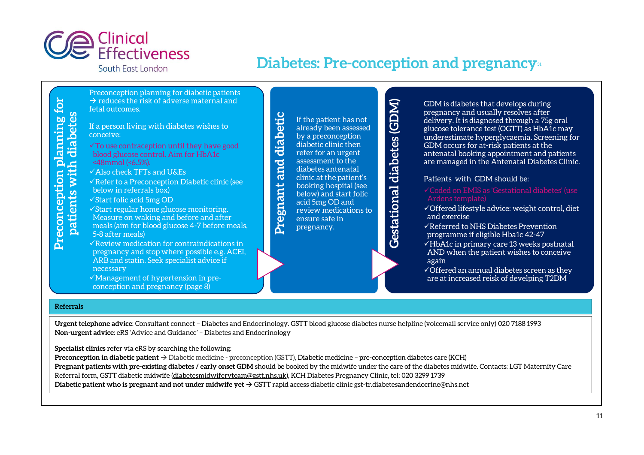

### **Diabetes: Pre-conception and pregnancy<sup>31</sup>**

**Gestational diabetes (GDM)**

**Gestational diabetes (GDM)** 

Preconception planning for diabetic patients  $\rightarrow$  reduces the risk of adverse maternal and fetal outcomes.

If a person living with diabetes wishes to conceive:

- $\checkmark$  To use contraception until they have good blood glucose control. Aim for HbA1c <48mmol (<6.5%).
- ✓Also check TFTs and U&Es
- ✓Refer to a Preconception Diabetic clinic (see below in referrals box)
- ✓Start folic acid 5mg OD
- ✓Start regular home glucose monitoring. Measure on waking and before and after meals (aim for blood glucose 4-7 before meals, 5-8 after meals)
- ✓Review medication for contraindications in pregnancy and stop where possible e.g. ACEI, ARB and statin. Seek specialist advice if necessary
- ✓Management of hypertension in preconception and pregnancy (page 8)

**Referrals**

**Preconception planning for patients with diabetes**

Preconception planning f<br>patients with diabetes

for

**Urgent telephone advice**: Consultant connect – Diabetes and Endocrinology. GSTT blood glucose diabetes nurse helpline (voicemail service only) 020 7188 1993 **Non-urgent advice**: eRS 'Advice and Guidance' – Diabetes and Endocrinology

**Specialist clinics** refer via eRS by searching the following:

**Preconception in diabetic patient** → Diabetic medicine - preconception (GSTT), Diabetic medicine – pre-conception diabetes care (KCH) **Pregnant patients with pre-existing diabetes / early onset GDM** should be booked by the midwife under the care of the diabetes midwife. Contacts: LGT Maternity Care Referral form, GSTT diabetic midwife [\(diabetesmidwiferyteam@gstt.nhs.uk\),](mailto:diabetesmidwiferyteam@gstt.nhs.uk) KCH Diabetes Pregnancy Clinic, tel: 020 3299 1739 **Diabetic patient who is pregnant and not under midwife yet** → GSTT rapid access diabetic clini[c gst-tr.diabetesandendocrine@nhs.net](mailto:gst-tr.DiabetesAndEndocrine@nhs.net)

diabetic **Pregnant and diabetic** If the patient has not already been assessed by a preconception diabetic clinic then refer for an urgent Pregnant and assessment to the diabetes antenatal clinic at the patient's booking hospital (see below) and start folic acid 5mg OD and review medications to ensure safe in pregnancy.

GDM is diabetes that develops during pregnancy and usually resolves after delivery. It is diagnosed through a 75g oral glucose tolerance test (OGTT) as HbA1c may underestimate hyperglycaemia. Screening for GDM occurs for at-risk patients at the antenatal booking appointment and patients are managed in the Antenatal Diabetes Clinic.

#### Patients with GDM should be:

- Ardens template)
- ✓Offered lifestyle advice: weight control, diet and exercise
- ✓Referred to NHS Diabetes Prevention programme if eligible Hba1c 42-47
- ✓HbA1c in primary care 13 weeks postnatal AND when the patient wishes to conceive again

✓Offered an annual diabetes screen as they are at increased reisk of develping T2DM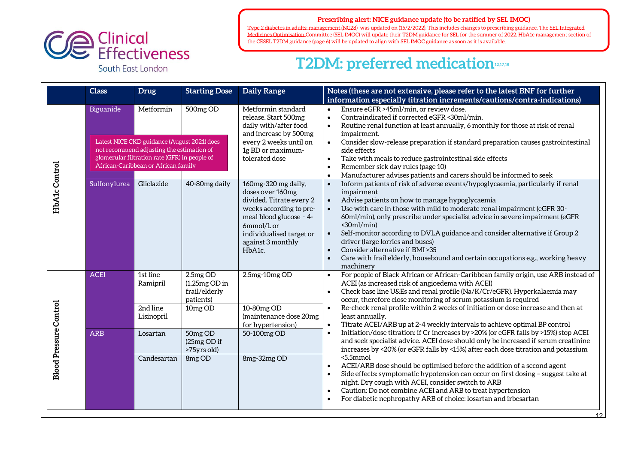

**[Prescribing alert: NICE guidance update \(to be ratified by SEL IMOC\)](https://www.nice.org.uk/guidance/ng28)**

[Type 2 diabetes in adults: management \(NG28\)](https://www.nice.org.uk/guidance/ng28) was updated on (15/2/2022). This includes changes to prescribing guidance. Th[e SEL Integrated](https://selondonccg.nhs.uk/what-we-do/medicines-optimisation/south-east-london-integrated-medicines-optimisation-committee-sel-imoc/)  [Medicines Optimisation C](https://selondonccg.nhs.uk/what-we-do/medicines-optimisation/south-east-london-integrated-medicines-optimisation-committee-sel-imoc/)ommittee (SEL IMOC) will update their T2DM guidance for SEL for the summer of 2022. HbA1c management section of the CESEL T2DM guidance (page 6) will be updated to align with SEL IMOC guidance as soon as it is available.

### **T2DM: preferred medication12,17,18**

|                               | <b>Class</b> | <b>Drug</b>                                                                                                                                                                                   | <b>Starting Dose</b>                                                              | Daily Range                                                                                                                                                                                        | Notes (these are not extensive, please refer to the latest BNF for further<br>information especially titration increments/cautions/contra-indications)                                                                                                                                                                                                                                                                                                                                                                                                                                                                                                                                                                                                                           |
|-------------------------------|--------------|-----------------------------------------------------------------------------------------------------------------------------------------------------------------------------------------------|-----------------------------------------------------------------------------------|----------------------------------------------------------------------------------------------------------------------------------------------------------------------------------------------------|----------------------------------------------------------------------------------------------------------------------------------------------------------------------------------------------------------------------------------------------------------------------------------------------------------------------------------------------------------------------------------------------------------------------------------------------------------------------------------------------------------------------------------------------------------------------------------------------------------------------------------------------------------------------------------------------------------------------------------------------------------------------------------|
|                               | Biguanide    | Metformin<br>Latest NICE CKD guidance (August 2021) does<br>not recommend adjusting the estimation of<br>glomerular filtration rate (GFR) in people of<br>African-Caribbean or African family | 500mg OD                                                                          | Metformin standard<br>release. Start 500mg<br>daily with/after food<br>and increase by 500mg<br>every 2 weeks until on<br>1g BD or maximum-<br>tolerated dose                                      | Ensure eGFR >45ml/min, or review dose.<br>$\bullet$<br>Contraindicated if corrected eGFR <30ml/min.<br>$\bullet$<br>Routine renal function at least annually, 6 monthly for those at risk of renal<br>$\bullet$<br>impairment.<br>Consider slow-release preparation if standard preparation causes gastrointestinal<br>$\bullet$<br>side effects<br>Take with meals to reduce gastrointestinal side effects<br>$\bullet$<br>Remember sick day rules (page 10)<br>$\bullet$<br>Manufacturer advises patients and carers should be informed to seek<br>$\bullet$                                                                                                                                                                                                                   |
| HbA1c Control                 | Sulfonylurea | Gliclazide                                                                                                                                                                                    | 40-80mg daily                                                                     | 160mg-320 mg daily,<br>doses over 160mg<br>divided. Titrate every 2<br>weeks according to pre-<br>meal blood glucose - 4-<br>6mmol/L or<br>individualised target or<br>against 3 monthly<br>HbA1c. | Inform patients of risk of adverse events/hypoglycaemia, particularly if renal<br>$\bullet$<br>impairment<br>Advise patients on how to manage hypoglycaemia<br>$\bullet$<br>Use with care in those with mild to moderate renal impairment (eGFR 30-<br>$\bullet$<br>60ml/min), only prescribe under specialist advice in severe impairment (eGFR<br>$30ml/min$<br>Self-monitor according to DVLA guidance and consider alternative if Group 2<br>$\bullet$<br>driver (large lorries and buses)<br>Consider alternative if BMI > 35<br>$\bullet$<br>Care with frail elderly, housebound and certain occupations e.g., working heavy<br>$\bullet$<br>machinery                                                                                                                     |
|                               | <b>ACEI</b>  | 1st line<br>Ramipril<br>2nd line<br>Lisinopril                                                                                                                                                | 2.5mg OD<br>$(1.25mg OD)$ in<br>frail/elderly<br>patients)<br>10 <sub>mg</sub> OD | 2.5mg-10mg OD<br>10-80mg OD<br>(maintenance dose 20mg                                                                                                                                              | For people of Black African or African-Caribbean family origin, use ARB instead of<br>$\bullet$<br>ACEI (as increased risk of angioedema with ACEI)<br>Check base line U&Es and renal profile (Na/K/Cr/eGFR). Hyperkalaemia may<br>$\bullet$<br>occur, therefore close monitoring of serum potassium is required<br>Re-check renal profile within 2 weeks of initiation or dose increase and then at<br>$\bullet$<br>least annually.                                                                                                                                                                                                                                                                                                                                             |
| <b>Blood Pressure Control</b> | <b>ARB</b>   | Losartan<br>Candesartan                                                                                                                                                                       | $\overline{50}$ mg OD<br>(25mg OD if<br>>75yrs old)<br>8 <sub>mg</sub> OD         | for hypertension)<br>50-100mg OD<br>8mg-32mg OD                                                                                                                                                    | Titrate ACEI/ARB up at 2-4 weekly intervals to achieve optimal BP control<br>$\bullet$<br>Initiation/dose titration: if Cr increases by >20% (or eGFR falls by >15%) stop ACEI<br>$\bullet$<br>and seek specialist advice. ACEI dose should only be increased if serum creatinine<br>increases by <20% (or eGFR falls by <15%) after each dose titration and potassium<br><5.5mmol<br>ACEI/ARB dose should be optimised before the addition of a second agent<br>Side effects: symptomatic hypotension can occur on first dosing - suggest take at<br>$\bullet$<br>night. Dry cough with ACEI, consider switch to ARB<br>Caution: Do not combine ACEI and ARB to treat hypertension<br>$\bullet$<br>For diabetic nephropathy ARB of choice: losartan and irbesartan<br>$\bullet$ |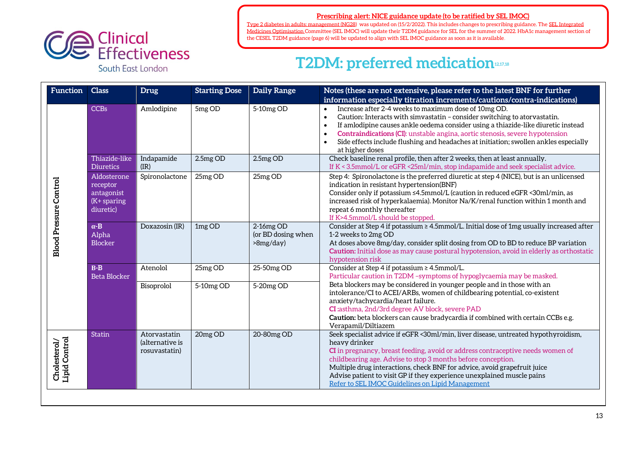**[Prescribing alert: NICE guidance update \(to be ratified by SEL IMOC\)](https://www.nice.org.uk/guidance/ng28)**



[Type 2 diabetes in adults: management \(NG28\)](https://www.nice.org.uk/guidance/ng28) was updated on (15/2/2022). This includes changes to prescribing guidance. Th[e SEL Integrated](https://selondonccg.nhs.uk/what-we-do/medicines-optimisation/south-east-london-integrated-medicines-optimisation-committee-sel-imoc/)  [Medicines Optimisation C](https://selondonccg.nhs.uk/what-we-do/medicines-optimisation/south-east-london-integrated-medicines-optimisation-committee-sel-imoc/)ommittee (SEL IMOC) will update their T2DM guidance for SEL for the summer of 2022. HbA1c management section of the CESEL T2DM guidance (page 6) will be updated to align with SEL IMOC guidance as soon as it is available.

### **T2DM: preferred medication12,17,18**

| <b>Function</b>               | <b>Class</b>                                                        | <b>Drug</b>                                      | <b>Starting Dose</b> | <b>Daily Range</b>                           | Notes (these are not extensive, please refer to the latest BNF for further<br>information especially titration increments/cautions/contra-indications)                                                                                                                                                                                                                                                                                                                             |
|-------------------------------|---------------------------------------------------------------------|--------------------------------------------------|----------------------|----------------------------------------------|------------------------------------------------------------------------------------------------------------------------------------------------------------------------------------------------------------------------------------------------------------------------------------------------------------------------------------------------------------------------------------------------------------------------------------------------------------------------------------|
|                               | <b>CCBs</b>                                                         | Amlodipine                                       | 5mg OD               | 5-10mg OD                                    | Increase after 2-4 weeks to maximum dose of 10mg OD.<br>$\bullet$<br>Caution: Interacts with simvastatin - consider switching to atorvastatin.<br>$\bullet$<br>If amlodipine causes ankle oedema consider using a thiazide-like diuretic instead<br>$\bullet$<br>Contraindications (CI): unstable angina, aortic stenosis, severe hypotension<br>$\bullet$<br>Side effects include flushing and headaches at initiation; swollen ankles especially<br>$\bullet$<br>at higher doses |
|                               | Thiazide-like<br><b>Diuretics</b>                                   | Indapamide<br>(IR)                               | 2.5mg OD             | 2.5mg OD                                     | Check baseline renal profile, then after 2 weeks, then at least annually.<br>If K < 3.5mmol/L or eGFR < 25ml/min, stop indapamide and seek specialist advice.                                                                                                                                                                                                                                                                                                                      |
| <b>Blood Pressure Control</b> | Aldosterone<br>receptor<br>antagonist<br>$(K+$ sparing<br>diuretic) | Spironolactone                                   | 25mg OD              | 25mg OD                                      | Step 4: Spironolactone is the preferred diuretic at step 4 (NICE), but is an unlicensed<br>indication in resistant hypertension(BNF)<br>Consider only if potassium <4.5mmol/L (caution in reduced eGFR <30ml/min, as<br>increased risk of hyperkalaemia). Monitor Na/K/renal function within 1 month and<br>repeat 6 monthly thereafter<br>If K>4.5mmol/L should be stopped.                                                                                                       |
|                               | $\alpha$ -B<br>Alpha<br><b>Blocker</b>                              | Doxazosin (IR)                                   | 1mg OD               | 2-16mg OD<br>(or BD dosing when<br>>8mg/day) | Consider at Step 4 if potassium ≥ 4.5mmol/L. Initial dose of 1mg usually increased after<br>1-2 weeks to 2mg OD<br>At doses above 8mg/day, consider split dosing from OD to BD to reduce BP variation<br>Caution: Initial dose as may cause postural hypotension, avoid in elderly as orthostatic<br>hypotension risk                                                                                                                                                              |
|                               | $B-B$<br><b>Beta Blocker</b>                                        | Atenolol                                         | 25mg OD              | 25-50mg OD                                   | Consider at Step 4 if potassium ≥ 4.5mmol/L.<br>Particular caution in T2DM -symptoms of hypoglycaemia may be masked.                                                                                                                                                                                                                                                                                                                                                               |
|                               |                                                                     | Bisoprolol                                       | 5-10mg OD            | 5-20mg OD                                    | Beta blockers may be considered in younger people and in those with an<br>intolerance/CI to ACEI/ARBs, women of childbearing potential, co-existent<br>anxiety/tachycardia/heart failure.<br>CI:asthma, 2nd/3rd degree AV block, severe PAD<br>Caution: beta blockers can cause bradycardia if combined with certain CCBs e.g.<br>Verapamil/Diltiazem                                                                                                                              |
| Cholesterol/<br>Lipid Control | <b>Statin</b>                                                       | Atorvastatin<br>(alternative is<br>rosuvastatin) | 20mg OD              | 20-80mg OD                                   | Seek specialist advice if eGFR <30ml/min, liver disease, untreated hypothyroidism,<br>heavy drinker<br>CI in pregnancy, breast feeding, avoid or address contraceptive needs women of<br>childbearing age. Advise to stop 3 months before conception.<br>Multiple drug interactions, check BNF for advice, avoid grapefruit juice<br>Advise patient to visit GP if they experience unexplained muscle pains<br>Refer to SEL IMOC Guidelines on Lipid Management                    |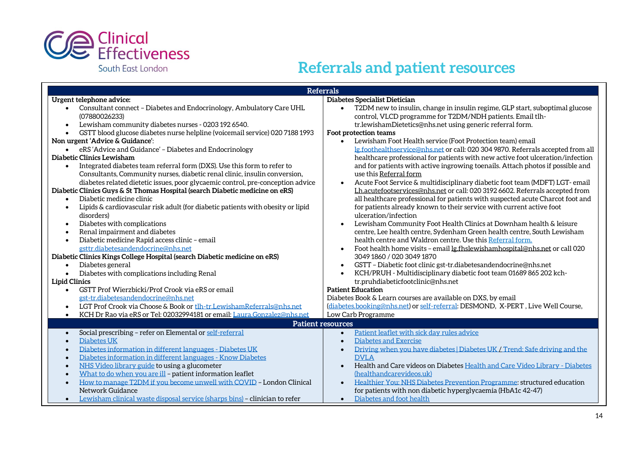

### **Referrals and patient resources**

| T2DM new to insulin, change in insulin regime, GLP start, suboptimal glucose<br>control, VLCD programme for T2DM/NDH patients. Email tlh-<br>tr.lewishamDietetics@nhs.net using generic referral form.<br>Lewisham Foot Health service (Foot Protection team) email<br>lg.foothealthservice@nhs.net or call: 020 304 9870. Referrals accepted from all<br>healthcare professional for patients with new active foot ulceration/infection                                                                                                                                                                                                                                                            |  |  |
|-----------------------------------------------------------------------------------------------------------------------------------------------------------------------------------------------------------------------------------------------------------------------------------------------------------------------------------------------------------------------------------------------------------------------------------------------------------------------------------------------------------------------------------------------------------------------------------------------------------------------------------------------------------------------------------------------------|--|--|
|                                                                                                                                                                                                                                                                                                                                                                                                                                                                                                                                                                                                                                                                                                     |  |  |
| and for patients with active ingrowing toenails. Attach photos if possible and<br>Acute Foot Service & multidisciplinary diabetic foot team (MDFT) LGT- email<br>Lh.acutefootservices@nhs.net or call: 020 3192 6602. Referrals accepted from<br>all healthcare professional for patients with suspected acute Charcot foot and<br>for patients already known to their service with current active foot<br>Lewisham Community Foot Health Clinics at Downham health & leisure<br>centre, Lee health centre, Sydenham Green health centre, South Lewisham<br>health centre and Waldron centre. Use this Referral form.<br>Foot health home visits - email lg.fhslewishamhospital@nhs.net or call 020 |  |  |
| GSTT - Diabetic foot clinic gst-tr.diabetesandendocrine@nhs.net                                                                                                                                                                                                                                                                                                                                                                                                                                                                                                                                                                                                                                     |  |  |
| KCH/PRUH - Multidisciplinary diabetic foot team 01689 865 202 kch-<br>tr.pruhdiabeticfootclinic@nhs.net                                                                                                                                                                                                                                                                                                                                                                                                                                                                                                                                                                                             |  |  |
|                                                                                                                                                                                                                                                                                                                                                                                                                                                                                                                                                                                                                                                                                                     |  |  |
| Diabetes Book & Learn courses are available on DXS, by email                                                                                                                                                                                                                                                                                                                                                                                                                                                                                                                                                                                                                                        |  |  |
| (diabetes.booking@nhs.net) or self-referral: DESMOND, X-PERT, Live Well Course,                                                                                                                                                                                                                                                                                                                                                                                                                                                                                                                                                                                                                     |  |  |
|                                                                                                                                                                                                                                                                                                                                                                                                                                                                                                                                                                                                                                                                                                     |  |  |
|                                                                                                                                                                                                                                                                                                                                                                                                                                                                                                                                                                                                                                                                                                     |  |  |
| Patient leaflet with sick day rules advice<br>Driving when you have diabetes   Diabetes UK / Trend: Safe driving and the                                                                                                                                                                                                                                                                                                                                                                                                                                                                                                                                                                            |  |  |
|                                                                                                                                                                                                                                                                                                                                                                                                                                                                                                                                                                                                                                                                                                     |  |  |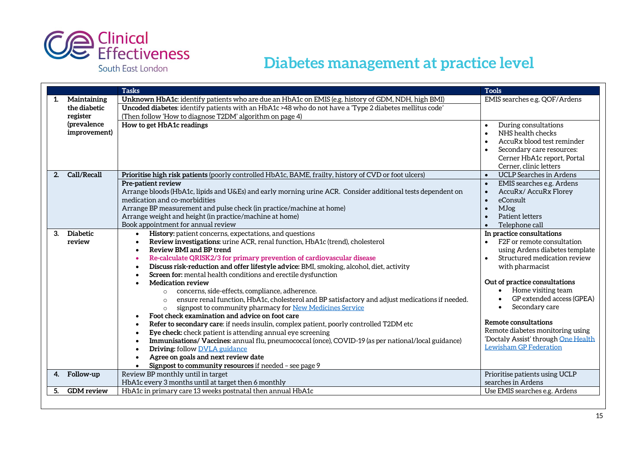

### **Diabetes management at practice level**

|                |                     | <b>Tasks</b>                                                                                                                                        | <b>Tools</b>                                            |
|----------------|---------------------|-----------------------------------------------------------------------------------------------------------------------------------------------------|---------------------------------------------------------|
|                | Maintaining         | Unknown HbA1c: identify patients who are due an HbA1c on EMIS (e.g. history of GDM, NDH, high BMI)                                                  | EMIS searches e.g. QOF/Ardens                           |
|                | the diabetic        | Uncoded diabetes: identify patients with an HbA1c >48 who do not have a 'Type 2 diabetes mellitus code'                                             |                                                         |
|                | register            | (Then follow 'How to diagnose T2DM' algorithm on page 4)                                                                                            |                                                         |
|                | <i>(prevalence)</i> | How to get HbA1c readings                                                                                                                           | During consultations<br>$\bullet$                       |
|                | improvement)        |                                                                                                                                                     | NHS health checks<br>$\bullet$                          |
|                |                     |                                                                                                                                                     | AccuRx blood test reminder                              |
|                |                     |                                                                                                                                                     | Secondary care resources:                               |
|                |                     |                                                                                                                                                     | Cerner HbA1c report, Portal                             |
|                |                     |                                                                                                                                                     | Cerner, clinic letters                                  |
| 2 <sub>1</sub> | Call/Recall         | Prioritise high risk patients (poorly controlled HbA1c, BAME, frailty, history of CVD or foot ulcers)                                               | UCLP Searches in Ardens<br>$\bullet$                    |
|                |                     | <b>Pre-patient review</b>                                                                                                                           | EMIS searches e.g. Ardens                               |
|                |                     | Arrange bloods (HbA1c, lipids and U&Es) and early morning urine ACR. Consider additional tests dependent on                                         | AccuRx/AccuRx Florey                                    |
|                |                     | medication and co-morbidities                                                                                                                       | eConsult                                                |
|                |                     | Arrange BP measurement and pulse check (in practice/machine at home)                                                                                | MJog<br>$\bullet$                                       |
|                |                     | Arrange weight and height (in practice/machine at home)<br>Book appointment for annual review                                                       | <b>Patient letters</b>                                  |
|                | <b>Diabetic</b>     |                                                                                                                                                     | Telephone call                                          |
| 3.             | review              | History: patient concerns, expectations, and questions<br>$\bullet$<br>Review investigations: urine ACR, renal function, HbA1c (trend), cholesterol | In practice consultations<br>F2F or remote consultation |
|                |                     | <b>Review BMI and BP trend</b>                                                                                                                      | using Ardens diabetes template                          |
|                |                     | Re-calculate QRISK2/3 for primary prevention of cardiovascular disease<br>٠                                                                         | Structured medication review                            |
|                |                     | Discuss risk-reduction and offer lifestyle advice: BMI, smoking, alcohol, diet, activity<br>$\bullet$                                               | with pharmacist                                         |
|                |                     | Screen for: mental health conditions and erectile dysfunction                                                                                       |                                                         |
|                |                     | <b>Medication review</b>                                                                                                                            | Out of practice consultations                           |
|                |                     | concerns, side-effects, compliance, adherence.<br>$\circ$                                                                                           | Home visiting team                                      |
|                |                     | ensure renal function, HbA1c, cholesterol and BP satisfactory and adjust medications if needed.<br>$\circ$                                          | GP extended access (GPEA)                               |
|                |                     | signpost to community pharmacy for New Medicines Service<br>$\circ$                                                                                 | Secondary care                                          |
|                |                     | Foot check examination and advice on foot care                                                                                                      |                                                         |
|                |                     | Refer to secondary care: if needs insulin, complex patient, poorly controlled T2DM etc                                                              | <b>Remote consultations</b>                             |
|                |                     | Eye check: check patient is attending annual eye screening<br>$\bullet$                                                                             | Remote diabetes monitoring using                        |
|                |                     | Immunisations/Vaccines: annual flu, pneumococcal (once), COVID-19 (as per national/local guidance)                                                  | 'Doctaly Assist' through One Health                     |
|                |                     | Driving: follow DVLA guidance<br>٠                                                                                                                  | Lewisham GP Federation                                  |
|                |                     | Agree on goals and next review date                                                                                                                 |                                                         |
|                |                     | Signpost to community resources if needed - see page 9                                                                                              |                                                         |
| 4.             | Follow-up           | Review BP monthly until in target                                                                                                                   | Prioritise patients using UCLP                          |
|                |                     | HbA1c every 3 months until at target then 6 monthly                                                                                                 | searches in Ardens                                      |
| 5.             | <b>GDM</b> review   | HbA1c in primary care 13 weeks postnatal then annual HbA1c                                                                                          | Use EMIS searches e.g. Ardens                           |
|                |                     |                                                                                                                                                     |                                                         |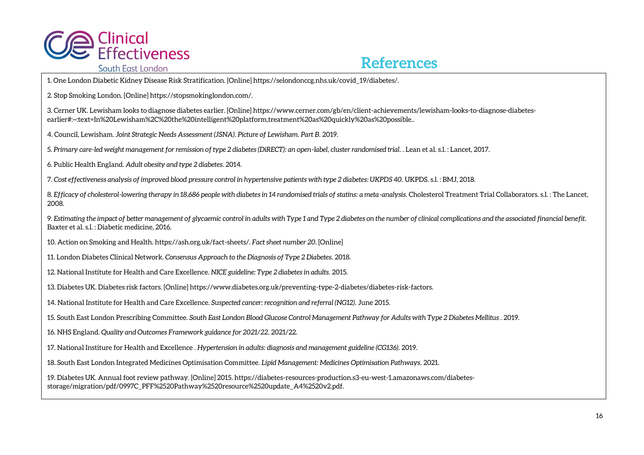

### **References**

1. One London Diabetic Kidney Disease Risk Stratification. [Online] https://selondonccg.nhs.uk/covid\_19/diabetes/.

2. Stop Smoking London. [Online] https://stopsmokinglondon.com/.

3. Cerner UK. Lewisham looks to diagnose diabetes earlier. [Online] https://www.cerner.com/gb/en/client-achievements/lewisham-looks-to-diagnose-diabetesearlier#:~:text=In%20Lewisham%2C%20the%20intelligent%20platform,treatment%20as%20quickly%20as%20possible..

4. Council, Lewisham. *Joint Strategic Needs Assessment (JSNA). Picture of Lewisham. Part B.* 2019.

5. *Primary care-led weight management for remission of type 2 diabetes (DiRECT): an open-label, cluster randomised trial. .* Lean et al. s.l. : Lancet, 2017.

6. Public Health England. *Adult obesity and type 2 diabetes.* 2014.

7. *Cost effectiveness analysis of improved blood pressure control in hypertensive patients with type 2 diabetes: UKPDS 40.* UKPDS. s.l. : BMJ, 2018.

8. *Efficacy of cholesterol-lowering therapy in 18,686 people with diabetes in 14 randomised trials of statins: a meta-analysis. Cholesterol Treatment Trial Collaborators. s.l. : The Lancet,* 2008.

9. *Estimating the impact of better management of glycaemic control in adults with Type 1 and Type 2 diabetes on the number of clinical complications and the associated financial benefit.*  Baxter et al. s.l. : Diabetic medicine, 2016.

10. Action on Smoking and Health. https://ash.org.uk/fact-sheets/. *Fact sheet number 20.* [Online]

11. London Diabetes Clinical Network. *Consensus Approach to the Diagnosis of Type 2 Diabetes.* 2018.

12. National Institute for Health and Care Excellence. *NICE guideline: Type 2 diabetes in adults.* 2015.

13. Diabetes UK. Diabetes risk factors. [Online] https://www.diabetes.org.uk/preventing-type-2-diabetes/diabetes-risk-factors.

14. National Institute for Health and Care Excellence. *Suspected cancer: recognition and referral (NG12).* June 2015.

15. South East London Prescribing Committee. *South East London Blood Glucose Control Management Pathway for Adults with Type 2 Diabetes Mellitus .* 2019.

16. NHS England. *Quality and Outcomes Framework guidance for 2021/22.* 2021/22.

17. National Institure for Health and Excellence . *Hypertension in adults: diagnosis and management guideline (CG136).* 2019.

18. South East London Integrated Medicines Optimisation Committee. *Lipid Management: Medicines Optimisation Pathways.* 2021.

19. Diabetes UK. Annual foot review pathway. [Online] 2015. https://diabetes-resources-production.s3-eu-west-1.amazonaws.com/diabetesstorage/migration/pdf/0997C\_PFF%2520Pathway%2520resource%2520update\_A4%2520v2.pdf.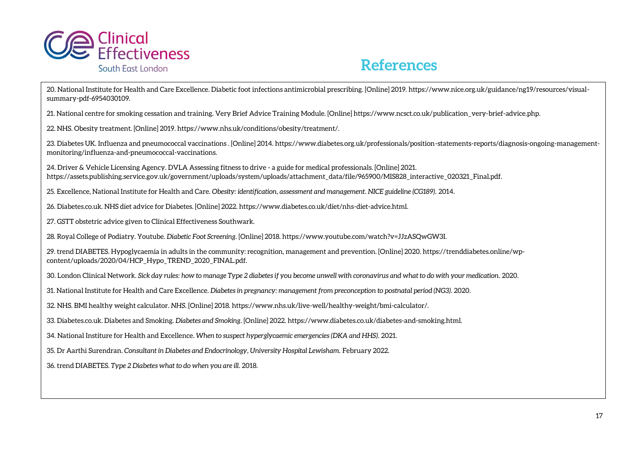



20. National Institute for Health and Care Excellence. Diabetic foot infections antimicrobial prescribing. [Online] 2019. https://www.nice.org.uk/guidance/ng19/resources/visualsummary-pdf-6954030109.

21. National centre for smoking cessation and training. Very Brief Advice Training Module. [Online] https://www.ncsct.co.uk/publication\_very-brief-advice.php.

22. NHS. Obesity treatment. [Online] 2019. https://www.nhs.uk/conditions/obesity/treatment/.

23. Diabetes UK. Influenza and pneumococcal vaccinations . [Online] 2014. https://www.diabetes.org.uk/professionals/position-statements-reports/diagnosis-ongoing-managementmonitoring/influenza-and-pneumococcal-vaccinations.

24. Driver & Vehicle Licensing Agency. DVLA Assessing fitness to drive - a guide for medical professionals. [Online] 2021. https://assets.publishing.service.gov.uk/government/uploads/system/uploads/attachment\_data/file/965900/MIS828\_interactive\_020321\_Final.pdf.

25. Excellence, National Institute for Health and Care. *Obesity: identification, assessment and management. NICE guideline (CG189).* 2014.

26. Diabetes.co.uk. NHS diet advice for Diabetes. [Online] 2022. https://www.diabetes.co.uk/diet/nhs-diet-advice.html.

27. GSTT obstetric advice given to Clinical Effectiveness Southwark.

28. Royal College of Podiatry. Youtube. *Diabetic Foot Screening.* [Online] 2018. https://www.youtube.com/watch?v=JJzASQwGW3I.

29. trend DIABETES. Hypoglycaemia in adults in the community: recognition, management and prevention. [Online] 2020. https://trenddiabetes.online/wpcontent/uploads/2020/04/HCP\_Hypo\_TREND\_2020\_FINAL.pdf.

30. London Clinical Network. *Sick day rules: how to manage Type 2 diabetes if you become unwell with coronavirus and what to do with your medication.* 2020.

31. National Institute for Health and Care Excellence. *Diabetes in pregnancy: management from preconception to postnatal period (NG3).* 2020.

32. NHS. BMI healthy weight calculator. *NHS.* [Online] 2018. https://www.nhs.uk/live-well/healthy-weight/bmi-calculator/.

33. Diabetes.co.uk. Diabetes and Smoking. *Diabetes and Smoking.* [Online] 2022. https://www.diabetes.co.uk/diabetes-and-smoking.html.

34. National Institure for Health and Excellence. *When to suspect hyperglycaemic emergencies (DKA and HHS).* 2021.

35. Dr Aarthi Surendran. *Consultant in Diabetes and Endocrinology, University Hospital Lewisham.* February 2022.

36. trend DIABETES. *Type 2 Diabetes what to do when you are ill.* 2018.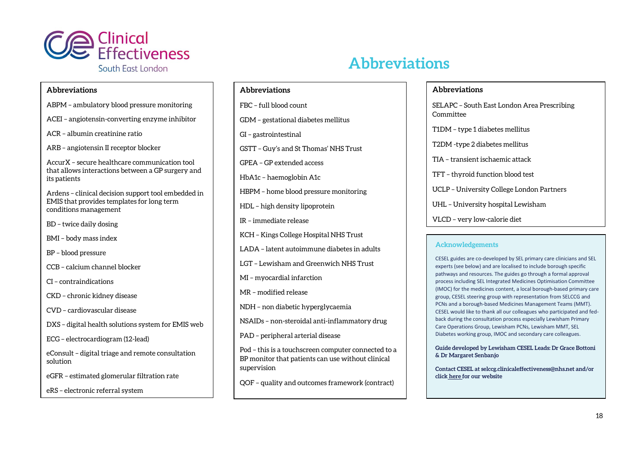

#### **Abbreviations**

- ABPM ambulatory blood pressure monitoring
- ACEI angiotensin-converting enzyme inhibitor
- ACR albumin creatinine ratio
- ARB angiotensin II receptor blocker

AccurX – secure healthcare communication tool that allows interactions between a GP surgery and its patients

Ardens – clinical decision support tool embedded in EMIS that provides templates for long term conditions management

- BD twice daily dosing
- BMI body mass index
- BP blood pressure
- CCB calcium channel blocker
- CI contraindications
- CKD chronic kidney disease
- CVD cardiovascular disease
- DXS digital health solutions system for EMIS web
- ECG electrocardiogram (12-lead)

eConsult – digital triage and remote consultation solution

- eGFR estimated glomerular filtration rate
- eRS electronic referral system

### **Abbreviations** FBC – full blood count GDM – gestational diabetes mellitus GI – gastrointestinal GSTT – Guy's and St Thomas' NHS Trust GPEA – GP extended access HbA1c – haemoglobin A1c HBPM – home blood pressure monitoring HDL – high density lipoprotein IR – immediate release KCH – Kings College Hospital NHS Trust LADA – latent autoimmune diabetes in adults LGT – Lewisham and Greenwich NHS Trust MI – myocardial infarction MR – modified release NDH – non diabetic hyperglycaemia NSAIDs – non-steroidal anti-inflammatory drug PAD – peripheral arterial disease Pod – this is a touchscreen computer connected to a BP monitor that patients can use without clinical supervision QOF – quality and outcomes framework (contract)

**Abbreviations**

#### **Abbreviations**

SELAPC – South East London Area Prescribing **Committee** 

T1DM – type 1 diabetes mellitus

T2DM -type 2 diabetes mellitus

TIA – transient ischaemic attack

TFT – thyroid function blood test

UCLP – University College London Partners

UHL – University hospital Lewisham

VLCD – very low-calorie diet

#### **Acknowledgements**

CESEL guides are co-developed by SEL primary care clinicians and SEL experts (see below) and are localised to include borough specific pathways and resources. The guides go through a formal approval process including SEL Integrated Medicines Optimisation Committee (IMOC) for the medicines content, a local borough-based primary care group, CESEL steering group with representation from SELCCG and PCNs and a borough-based Medicines Management Teams (MMT). CESEL would like to thank all our colleagues who participated and fedback during the consultation process especially Lewisham Primary Care Operations Group, Lewisham PCNs, Lewisham MMT, SEL Diabetes working group, IMOC and secondary care colleagues.

**Guide developed by Lewisham CESEL Leads: Dr Grace Bottoni & Dr Margaret Senbanjo**

**Contact CESEL at selccg.clinicaleffectiveness@nhs.net and/or click [here f](https://selondonccg.nhs.uk/covid_19/clinical-effectiveness-sel/)or our website**